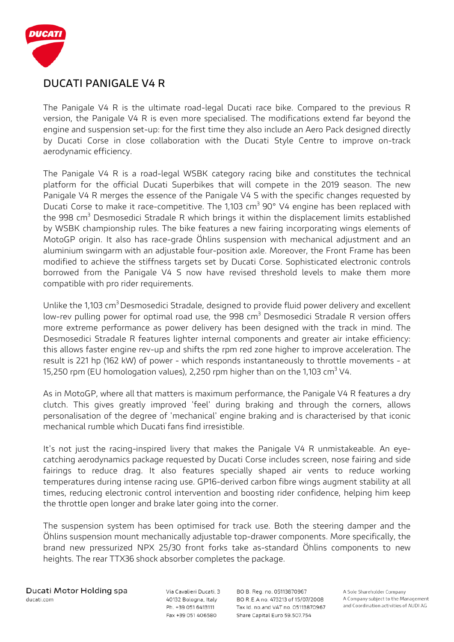

#### **DUCATI PANIGALE V4 R**

The Panigale V4 R is the ultimate road-legal Ducati race bike. Compared to the previous R version, the Panigale V4 R is even more specialised. The modifications extend far beyond the engine and suspension set-up: for the first time they also include an Aero Pack designed directly by Ducati Corse in close collaboration with the Ducati Style Centre to improve on-track aerodynamic efficiency.

The Panigale V4 R is a road-legal WSBK category racing bike and constitutes the technical platform for the official Ducati Superbikes that will compete in the 2019 season. The new Panigale V4 R merges the essence of the Panigale V4 S with the specific changes requested by Ducati Corse to make it race-competitive. The 1,103  $cm<sup>3</sup>$  90° V4 engine has been replaced with the 998  $\text{cm}^3$  Desmosedici Stradale R which brings it within the displacement limits established by WSBK championship rules. The bike features a new fairing incorporating wings elements of MotoGP origin. It also has race-grade Öhlins suspension with mechanical adjustment and an aluminium swingarm with an adjustable four-position axle. Moreover, the Front Frame has been modified to achieve the stiffness targets set by Ducati Corse. Sophisticated electronic controls borrowed from the Panigale V4 S now have revised threshold levels to make them more compatible with pro rider requirements.

Unlike the 1,103 cm<sup>3</sup> Desmosedici Stradale, designed to provide fluid power delivery and excellent low-rev pulling power for optimal road use, the  $998 \text{ cm}^3$  Desmosedici Stradale R version offers more extreme performance as power delivery has been designed with the track in mind. The Desmosedici Stradale R features lighter internal components and greater air intake efficiency: this allows faster engine rev-up and shifts the rpm red zone higher to improve acceleration. The result is 221 hp (162 kW) of power - which responds instantaneously to throttle movements - at 15,250 rpm (EU homologation values), 2,250 rpm higher than on the 1,103 cm<sup>3</sup> V4.

As in MotoGP, where all that matters is maximum performance, the Panigale V4 R features a dry clutch. This gives greatly improved 'feel' during braking and through the corners, allows personalisation of the degree of 'mechanical' engine braking and is characterised by that iconic mechanical rumble which Ducati fans find irresistible.

It's not just the racing-inspired livery that makes the Panigale V4 R unmistakeable. An eyecatching aerodynamics package requested by Ducati Corse includes screen, nose fairing and side fairings to reduce drag. It also features specially shaped air vents to reduce working temperatures during intense racing use. GP16-derived carbon fibre wings augment stability at all times, reducing electronic control intervention and boosting rider confidence, helping him keep the throttle open longer and brake later going into the corner.

The suspension system has been optimised for track use. Both the steering damper and the Öhlins suspension mount mechanically adjustable top-drawer components. More specifically, the brand new pressurized NPX 25/30 front forks take as-standard Öhlins components to new heights. The rear TTX36 shock absorber completes the package.

Via Cavalieri Ducati, 3 40132 Bologna, Italy Ph. +39 051 6413111 Fax +39 051 406580

BO B. Reg. no. 05113870967 BO R.E.A no. 473213 of 15/07/2008 Tax Id. no.and VAT no. 05113870967 Share Capital Euro 59.507.754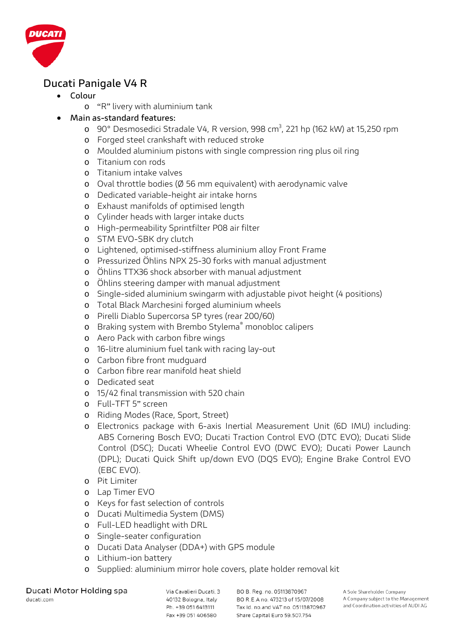

# **Ducati Panigale V4 R**

- **Colour** 
	- o "R" livery with aluminium tank
- **Main as-standard features:**
	- o 90° Desmosedici Stradale V4, R version, 998 cm<sup>3</sup>, 221 hp (162 kW) at 15,250 rpm
	- o Forged steel crankshaft with reduced stroke
	- o Moulded aluminium pistons with single compression ring plus oil ring
	- o Titanium con rods
	- o Titanium intake valves
	- o Oval throttle bodies (Ø 56 mm equivalent) with aerodynamic valve
	- o Dedicated variable-height air intake horns
	- o Exhaust manifolds of optimised length
	- o Cylinder heads with larger intake ducts
	- o High-permeability Sprintfilter P08 air filter
	- o STM EVO-SBK dry clutch
	- o Lightened, optimised-stiffness aluminium alloy Front Frame
	- o Pressurized Öhlins NPX 25-30 forks with manual adjustment
	- o Öhlins TTX36 shock absorber with manual adjustment
	- o Öhlins steering damper with manual adjustment
	- o Single-sided aluminium swingarm with adjustable pivot height (4 positions)
	- o Total Black Marchesini forged aluminium wheels
	- o Pirelli Diablo Supercorsa SP tyres (rear 200/60)
	- o Braking system with Brembo Stylema® monobloc calipers
	- o Aero Pack with carbon fibre wings
	- o 16-litre aluminium fuel tank with racing lay-out
	- o Carbon fibre front mudguard
	- o Carbon fibre rear manifold heat shield
	- o Dedicated seat
	- o 15/42 final transmission with 520 chain
	- o Full-TFT 5" screen
	- o Riding Modes (Race, Sport, Street)
	- o Electronics package with 6-axis Inertial Measurement Unit (6D IMU) including: ABS Cornering Bosch EVO; Ducati Traction Control EVO (DTC EVO); Ducati Slide Control (DSC); Ducati Wheelie Control EVO (DWC EVO); Ducati Power Launch (DPL); Ducati Quick Shift up/down EVO (DQS EVO); Engine Brake Control EVO (EBC EVO).
	- o Pit Limiter
	- o Lap Timer EVO
	- o Keys for fast selection of controls
	- o Ducati Multimedia System (DMS)
	- o Full-LED headlight with DRL
	- o Single-seater configuration
	- o Ducati Data Analyser (DDA+) with GPS module
	- o Lithium-ion battery
	- o Supplied: aluminium mirror hole covers, plate holder removal kit

Ducati Motor Holding spa ducati.com

Via Cavalieri Ducati, 3 40132 Bologna, Italy Ph. +39 051 6413111 Fax +39 051 406580

BO B. Reg. no. 05113870967 BO R.E.A no. 473213 of 15/07/2008 Tax Id. no.and VAT no. 05113870967 Share Capital Euro 59.507.754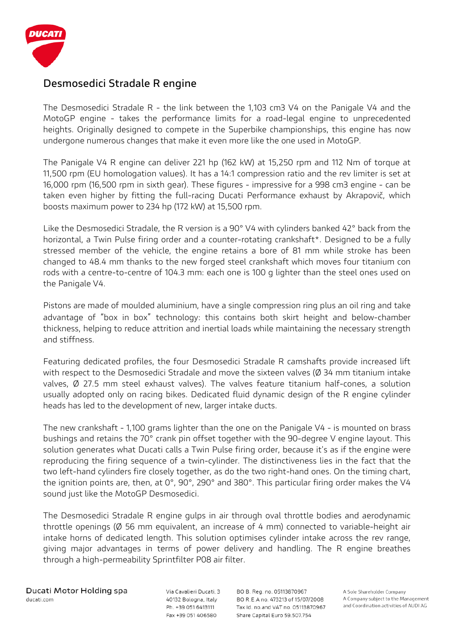

#### **Desmosedici Stradale R engine**

The Desmosedici Stradale R - the link between the 1,103 cm3 V4 on the Panigale V4 and the MotoGP engine - takes the performance limits for a road-legal engine to unprecedented heights. Originally designed to compete in the Superbike championships, this engine has now undergone numerous changes that make it even more like the one used in MotoGP.

The Panigale V4 R engine can deliver 221 hp (162 kW) at 15,250 rpm and 112 Nm of torque at 11,500 rpm (EU homologation values). It has a 14:1 compression ratio and the rev limiter is set at 16,000 rpm (16,500 rpm in sixth gear). These figures - impressive for a 998 cm3 engine - can be taken even higher by fitting the full-racing Ducati Performance exhaust by Akrapovič, which boosts maximum power to 234 hp (172 kW) at 15,500 rpm.

Like the Desmosedici Stradale, the R version is a 90° V4 with cylinders banked 42° back from the horizontal, a Twin Pulse firing order and a counter-rotating crankshaft\*. Designed to be a fully stressed member of the vehicle, the engine retains a bore of 81 mm while stroke has been changed to 48.4 mm thanks to the new forged steel crankshaft which moves four titanium con rods with a centre-to-centre of 104.3 mm: each one is 100 g lighter than the steel ones used on the Panigale V4.

Pistons are made of moulded aluminium, have a single compression ring plus an oil ring and take advantage of "box in box" technology: this contains both skirt height and below-chamber thickness, helping to reduce attrition and inertial loads while maintaining the necessary strength and stiffness.

Featuring dedicated profiles, the four Desmosedici Stradale R camshafts provide increased lift with respect to the Desmosedici Stradale and move the sixteen valves (Ø 34 mm titanium intake valves, Ø 27.5 mm steel exhaust valves). The valves feature titanium half-cones, a solution usually adopted only on racing bikes. Dedicated fluid dynamic design of the R engine cylinder heads has led to the development of new, larger intake ducts.

The new crankshaft - 1,100 grams lighter than the one on the Panigale V4 - is mounted on brass bushings and retains the 70° crank pin offset together with the 90-degree V engine layout. This solution generates what Ducati calls a Twin Pulse firing order, because it's as if the engine were reproducing the firing sequence of a twin-cylinder. The distinctiveness lies in the fact that the two left-hand cylinders fire closely together, as do the two right-hand ones. On the timing chart, the ignition points are, then, at 0°, 90°, 290° and 380°. This particular firing order makes the V4 sound just like the MotoGP Desmosedici.

The Desmosedici Stradale R engine gulps in air through oval throttle bodies and aerodynamic throttle openings (Ø 56 mm equivalent, an increase of 4 mm) connected to variable-height air intake horns of dedicated length. This solution optimises cylinder intake across the rev range, giving major advantages in terms of power delivery and handling. The R engine breathes through a high-permeability Sprintfilter P08 air filter.

Via Cavalieri Ducati, 3 40132 Bologna, Italy Ph. +39 051 6413111 Fax +39 051 406580

BO B. Reg. no. 05113870967 BO R.E.A no. 473213 of 15/07/2008 Tax Id. no.and VAT no. 05113870967 Share Capital Euro 59.507.754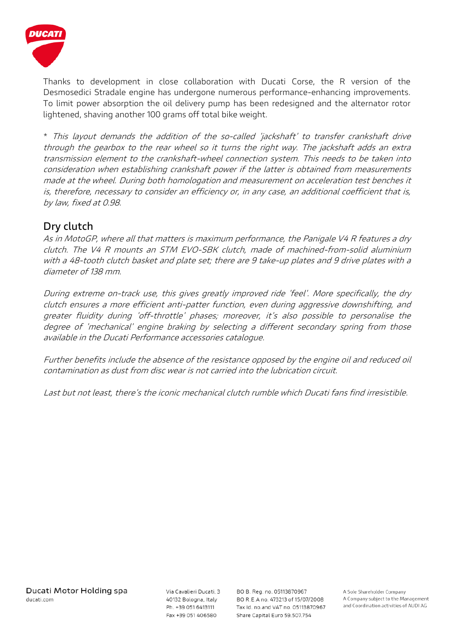

Thanks to development in close collaboration with Ducati Corse, the R version of the Desmosedici Stradale engine has undergone numerous performance-enhancing improvements. To limit power absorption the oil delivery pump has been redesigned and the alternator rotor lightened, shaving another 100 grams off total bike weight.

\* This layout demands the addition of the so-called 'jackshaft' to transfer crankshaft drive through the gearbox to the rear wheel so it turns the right way. The jackshaft adds an extra transmission element to the crankshaft-wheel connection system. This needs to be taken into consideration when establishing crankshaft power if the latter is obtained from measurements made at the wheel. During both homologation and measurement on acceleration test benches it is, therefore, necessary to consider an efficiency or, in any case, an additional coefficient that is, by law, fixed at 0.98.

# **Dry clutch**

As in MotoGP, where all that matters is maximum performance, the Panigale V4 R features a dry clutch. The V4 R mounts an STM EVO-SBK clutch, made of machined-from-solid aluminium with a 48-tooth clutch basket and plate set; there are 9 take-up plates and 9 drive plates with a diameter of 138 mm.

During extreme on-track use, this gives greatly improved ride 'feel'. More specifically, the dry clutch ensures a more efficient anti-patter function, even during aggressive downshifting, and greater fluidity during 'off-throttle' phases; moreover, it's also possible to personalise the degree of 'mechanical' engine braking by selecting a different secondary spring from those available in the Ducati Performance accessories catalogue.

Further benefits include the absence of the resistance opposed by the engine oil and reduced oil contamination as dust from disc wear is not carried into the lubrication circuit.

Last but not least, there's the iconic mechanical clutch rumble which Ducati fans find irresistible.

Via Cavalieri Ducati, 3 40132 Bologna, Italy Ph. +39 051 6413111 Fax +39 051 406580

BO B. Reg. no. 05113870967 BO R.E.A no. 473213 of 15/07/2008 Tax Id. no.and VAT no. 05113870967 Share Capital Euro 59.507.754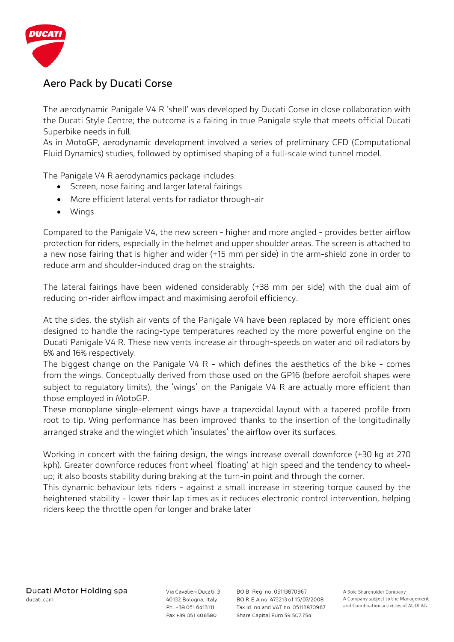

# **Aero Pack by Ducati Corse**

The aerodynamic Panigale V4 R 'shell' was developed by Ducati Corse in close collaboration with the Ducati Style Centre; the outcome is a fairing in true Panigale style that meets official Ducati Superbike needs in full.

As in MotoGP, aerodynamic development involved a series of preliminary CFD (Computational Fluid Dynamics) studies, followed by optimised shaping of a full-scale wind tunnel model.

The Panigale V4 R aerodynamics package includes:

- Screen, nose fairing and larger lateral fairings
- More efficient lateral vents for radiator through-air
- Wings

Compared to the Panigale V4, the new screen - higher and more angled - provides better airflow protection for riders, especially in the helmet and upper shoulder areas. The screen is attached to a new nose fairing that is higher and wider (+15 mm per side) in the arm-shield zone in order to reduce arm and shoulder-induced drag on the straights.

The lateral fairings have been widened considerably (+38 mm per side) with the dual aim of reducing on-rider airflow impact and maximising aerofoil efficiency.

At the sides, the stylish air vents of the Panigale V4 have been replaced by more efficient ones designed to handle the racing-type temperatures reached by the more powerful engine on the Ducati Panigale V4 R. These new vents increase air through-speeds on water and oil radiators by 6% and 16% respectively.

The biggest change on the Panigale V4 R - which defines the aesthetics of the bike - comes from the wings. Conceptually derived from those used on the GP16 (before aerofoil shapes were subject to regulatory limits), the 'wings' on the Panigale V4 R are actually more efficient than those employed in MotoGP.

These monoplane single-element wings have a trapezoidal layout with a tapered profile from root to tip. Wing performance has been improved thanks to the insertion of the longitudinally arranged strake and the winglet which 'insulates' the airflow over its surfaces.

Working in concert with the fairing design, the wings increase overall downforce (+30 kg at 270 kph). Greater downforce reduces front wheel 'floating' at high speed and the tendency to wheelup; it also boosts stability during braking at the turn-in point and through the corner.

This dynamic behaviour lets riders - against a small increase in steering torque caused by the heightened stability - lower their lap times as it reduces electronic control intervention, helping riders keep the throttle open for longer and brake later

Via Cavalieri Ducati, 3 40132 Bologna, Italy Ph. +39 051 6413111 Fax +39 051 406580

BO B. Reg. no. 05113870967 BO R.E.A no. 473213 of 15/07/2008 Tax Id. no.and VAT no. 05113870967 Share Capital Euro 59.507.754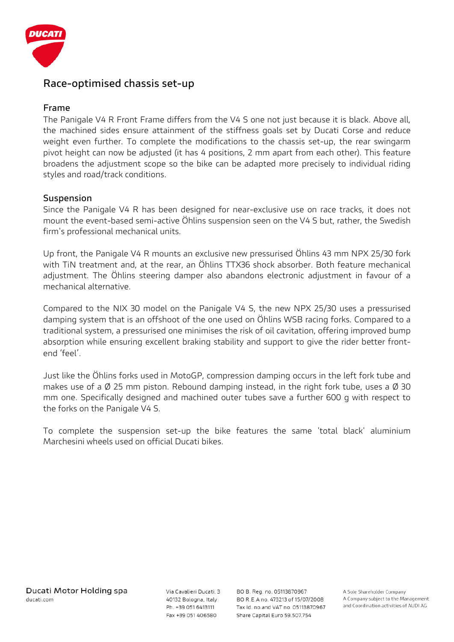

#### **Race-optimised chassis set-up**

#### **Frame**

The Panigale V4 R Front Frame differs from the V4 S one not just because it is black. Above all, the machined sides ensure attainment of the stiffness goals set by Ducati Corse and reduce weight even further. To complete the modifications to the chassis set-up, the rear swingarm pivot height can now be adjusted (it has 4 positions, 2 mm apart from each other). This feature broadens the adjustment scope so the bike can be adapted more precisely to individual riding styles and road/track conditions.

#### **Suspension**

Since the Panigale V4 R has been designed for near-exclusive use on race tracks, it does not mount the event-based semi-active Öhlins suspension seen on the V4 S but, rather, the Swedish firm's professional mechanical units.

Up front, the Panigale V4 R mounts an exclusive new pressurised Öhlins 43 mm NPX 25/30 fork with TiN treatment and, at the rear, an Öhlins TTX36 shock absorber. Both feature mechanical adjustment. The Öhlins steering damper also abandons electronic adjustment in favour of a mechanical alternative.

Compared to the NIX 30 model on the Panigale V4 S, the new NPX 25/30 uses a pressurised damping system that is an offshoot of the one used on Öhlins WSB racing forks. Compared to a traditional system, a pressurised one minimises the risk of oil cavitation, offering improved bump absorption while ensuring excellent braking stability and support to give the rider better frontend 'feel'.

Just like the Öhlins forks used in MotoGP, compression damping occurs in the left fork tube and makes use of a  $\emptyset$  25 mm piston. Rebound damping instead, in the right fork tube, uses a  $\emptyset$  30 mm one. Specifically designed and machined outer tubes save a further 600 g with respect to the forks on the Panigale V4 S.

To complete the suspension set-up the bike features the same 'total black' aluminium Marchesini wheels used on official Ducati bikes.

Via Cavalieri Ducati, 3 40132 Bologna, Italy Ph. +39 051 6413111 Fax +39 051 406580

BO B. Reg. no. 05113870967 BO R.E.A no. 473213 of 15/07/2008 Tax Id. no.and VAT no. 05113870967 Share Capital Euro 59.507.754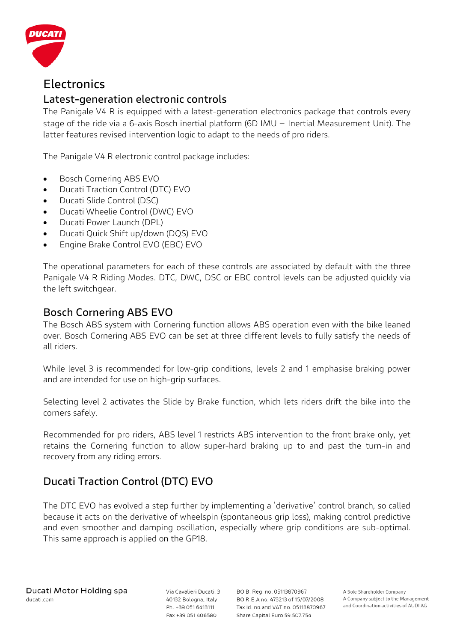

# **Electronics**

# **Latest-generation electronic controls**

The Panigale V4 R is equipped with a latest-generation electronics package that controls every stage of the ride via a 6-axis Bosch inertial platform (6D IMU – Inertial Measurement Unit). The latter features revised intervention logic to adapt to the needs of pro riders.

The Panigale V4 R electronic control package includes:

- Bosch Cornering ABS EVO
- Ducati Traction Control (DTC) EVO
- Ducati Slide Control (DSC)
- Ducati Wheelie Control (DWC) EVO
- Ducati Power Launch (DPL)
- Ducati Quick Shift up/down (DQS) EVO
- Engine Brake Control EVO (EBC) EVO

The operational parameters for each of these controls are associated by default with the three Panigale V4 R Riding Modes. DTC, DWC, DSC or EBC control levels can be adjusted quickly via the left switchgear.

#### **Bosch Cornering ABS EVO**

The Bosch ABS system with Cornering function allows ABS operation even with the bike leaned over. Bosch Cornering ABS EVO can be set at three different levels to fully satisfy the needs of all riders.

While level 3 is recommended for low-grip conditions, levels 2 and 1 emphasise braking power and are intended for use on high-grip surfaces.

Selecting level 2 activates the Slide by Brake function, which lets riders drift the bike into the corners safely.

Recommended for pro riders, ABS level 1 restricts ABS intervention to the front brake only, yet retains the Cornering function to allow super-hard braking up to and past the turn-in and recovery from any riding errors.

# **Ducati Traction Control (DTC) EVO**

The DTC EVO has evolved a step further by implementing a 'derivative' control branch, so called because it acts on the derivative of wheelspin (spontaneous grip loss), making control predictive and even smoother and damping oscillation, especially where grip conditions are sub-optimal. This same approach is applied on the GP18.

Via Cavalieri Ducati, 3 40132 Bologna, Italy Ph. +39 051 6413111 Fax +39 051 406580

BO B. Reg. no. 05113870967 BO R.E.A no. 473213 of 15/07/2008 Tax Id. no.and VAT no. 05113870967 Share Capital Euro 59.507.754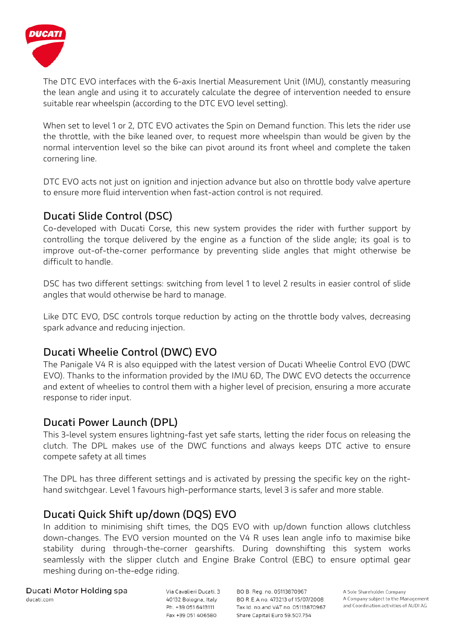

The DTC EVO interfaces with the 6-axis Inertial Measurement Unit (IMU), constantly measuring the lean angle and using it to accurately calculate the degree of intervention needed to ensure suitable rear wheelspin (according to the DTC EVO level setting).

When set to level 1 or 2, DTC EVO activates the Spin on Demand function. This lets the rider use the throttle, with the bike leaned over, to request more wheelspin than would be given by the normal intervention level so the bike can pivot around its front wheel and complete the taken cornering line.

DTC EVO acts not just on ignition and injection advance but also on throttle body valve aperture to ensure more fluid intervention when fast-action control is not required.

# **Ducati Slide Control (DSC)**

Co-developed with Ducati Corse, this new system provides the rider with further support by controlling the torque delivered by the engine as a function of the slide angle; its goal is to improve out-of-the-corner performance by preventing slide angles that might otherwise be difficult to handle.

DSC has two different settings: switching from level 1 to level 2 results in easier control of slide angles that would otherwise be hard to manage.

Like DTC EVO, DSC controls torque reduction by acting on the throttle body valves, decreasing spark advance and reducing injection.

# **Ducati Wheelie Control (DWC) EVO**

The Panigale V4 R is also equipped with the latest version of Ducati Wheelie Control EVO (DWC EVO). Thanks to the information provided by the IMU 6D, The DWC EVO detects the occurrence and extent of wheelies to control them with a higher level of precision, ensuring a more accurate response to rider input.

# **Ducati Power Launch (DPL)**

This 3-level system ensures lightning-fast yet safe starts, letting the rider focus on releasing the clutch. The DPL makes use of the DWC functions and always keeps DTC active to ensure compete safety at all times

The DPL has three different settings and is activated by pressing the specific key on the righthand switchgear. Level 1 favours high-performance starts, level 3 is safer and more stable.

# **Ducati Quick Shift up/down (DQS) EVO**

In addition to minimising shift times, the DQS EVO with up/down function allows clutchless down-changes. The EVO version mounted on the V4 R uses lean angle info to maximise bike stability during through-the-corner gearshifts. During downshifting this system works seamlessly with the slipper clutch and Engine Brake Control (EBC) to ensure optimal gear meshing during on-the-edge riding.

Ducati Motor Holding spa ducati.com

Via Cavalieri Ducati, 3 40132 Bologna, Italy Ph. +39 051 6413111 Fax +39 051 406580

BO B. Reg. no. 05113870967 BO R.E.A no. 473213 of 15/07/2008 Tax Id. no.and VAT no. 05113870967 Share Capital Euro 59.507.754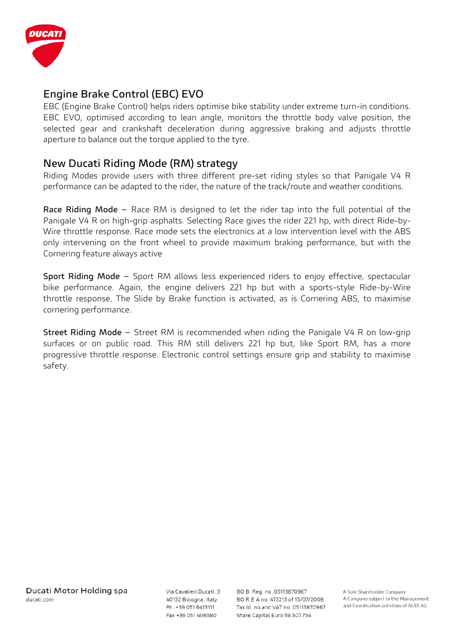

# **Engine Brake Control (EBC) EVO**

EBC (Engine Brake Control) helps riders optimise bike stability under extreme turn-in conditions. EBC EVO, optimised according to lean angle, monitors the throttle body valve position, the selected gear and crankshaft deceleration during aggressive braking and adjusts throttle aperture to balance out the torque applied to the tyre.

#### **New Ducati Riding Mode (RM) strategy**

Riding Modes provide users with three different pre-set riding styles so that Panigale V4 R performance can be adapted to the rider, the nature of the track/route and weather conditions.

**Race Riding Mode** – Race RM is designed to let the rider tap into the full potential of the Panigale V4 R on high-grip asphalts. Selecting Race gives the rider 221 hp, with direct Ride-by-Wire throttle response. Race mode sets the electronics at a low intervention level with the ABS only intervening on the front wheel to provide maximum braking performance, but with the Cornering feature always active

**Sport Riding Mode** – Sport RM allows less experienced riders to enjoy effective, spectacular bike performance. Again, the engine delivers 221 hp but with a sports-style Ride-by-Wire throttle response. The Slide by Brake function is activated, as is Cornering ABS, to maximise cornering performance.

**Street Riding Mode** – Street RM is recommended when riding the Panigale V4 R on low-grip surfaces or on public road. This RM still delivers 221 hp but, like Sport RM, has a more progressive throttle response. Electronic control settings ensure grip and stability to maximise safety.

Via Cavalieri Ducati, 3 40132 Bologna, Italy Ph. +39 051 6413111 Fax +39 051 406580

BO B. Reg. no. 05113870967 BO R.E.A no. 473213 of 15/07/2008 Tax Id. no.and VAT no. 05113870967 Share Capital Euro 59.507.754